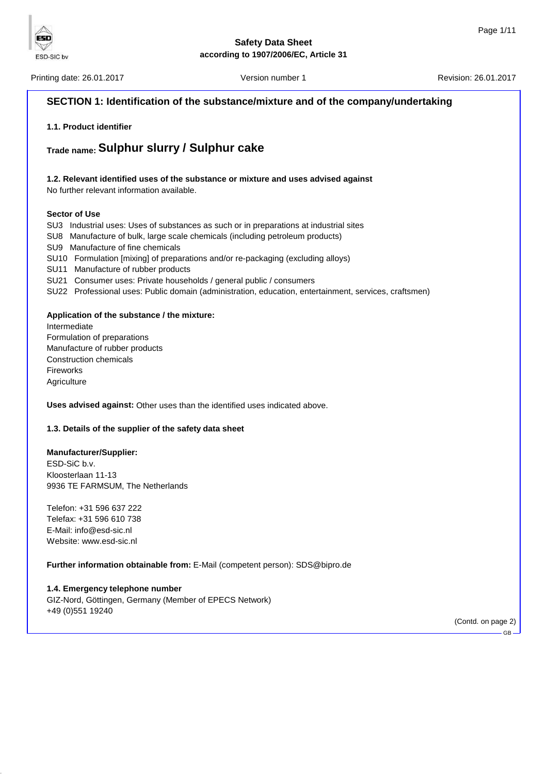

Printing date: 26.01.2017 **Version number 1** According to the U.S. 2017 **Revision: 26.01.2017** Printing date: 26.01.2017

ESD

ESD-SIC bv

# **SECTION 1: Identification of the substance/mixture and of the company/undertaking 1.1. Product identifier Trade name: Sulphur slurry / Sulphur cake 1.2. Relevant identified uses of the substance or mixture and uses advised against** No further relevant information available. **Sector of Use** SU3 Industrial uses: Uses of substances as such or in preparations at industrial sites SU8 Manufacture of bulk, large scale chemicals (including petroleum products) SU9 Manufacture of fine chemicals SU10 Formulation [mixing] of preparations and/or re-packaging (excluding alloys) SU11 Manufacture of rubber products SU21 Consumer uses: Private households / general public / consumers SU22 Professional uses: Public domain (administration, education, entertainment, services, craftsmen) **Application of the substance / the mixture:** Intermediate Formulation of preparations Manufacture of rubber products Construction chemicals Fireworks **Agriculture Uses advised against:** Other uses than the identified uses indicated above. **1.3. Details of the supplier of the safety data sheet Manufacturer/Supplier:** ESD-SiC b.v. Kloosterlaan 11-13 9936 TE FARMSUM, The Netherlands Telefon: +31 596 637 222 Telefax: +31 596 610 738 E-Mail: info@esd-sic.nl Website: www.esd-sic.nl **Further information obtainable from:** E-Mail (competent person): SDS@bipro.de **1.4. Emergency telephone number**

GIZ-Nord, Göttingen, Germany (Member of EPECS Network) +49 (0)551 19240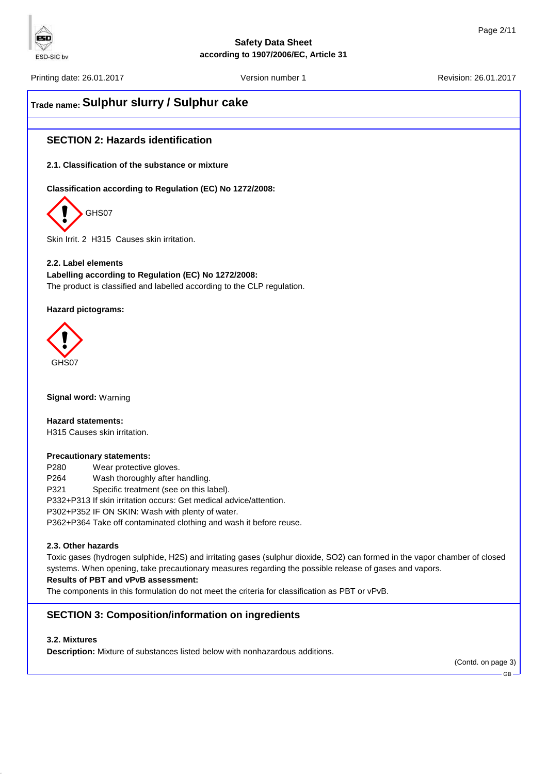

Printing date: 26.01.2017 **Version number 1** According to the U.S. 2017 **Revision: 26.01.2017** Printing date: 26.01.2017

ESD

ESD-SIC by

# **Trade name: Sulphur slurry / Sulphur cake**

# **SECTION 2: Hazards identification**

**2.1. Classification of the substance or mixture**

**Classification according to Regulation (EC) No 1272/2008:**



Skin Irrit. 2 H315 Causes skin irritation.

**2.2. Label elements Labelling according to Regulation (EC) No 1272/2008:** The product is classified and labelled according to the CLP regulation.

**Hazard pictograms:**



**Signal word:** Warning

**Hazard statements:** H315 Causes skin irritation.

#### **Precautionary statements:**

P280 Wear protective gloves. P264 Wash thoroughly after handling. P321 Specific treatment (see on this label). P332+P313 If skin irritation occurs: Get medical advice/attention. P302+P352 IF ON SKIN: Wash with plenty of water. P362+P364 Take off contaminated clothing and wash it before reuse.

# **2.3. Other hazards**

Toxic gases (hydrogen sulphide, H2S) and irritating gases (sulphur dioxide, SO2) can formed in the vapor chamber of closed systems. When opening, take precautionary measures regarding the possible release of gases and vapors.

# **Results of PBT and vPvB assessment:**

The components in this formulation do not meet the criteria for classification as PBT or vPvB.

# **SECTION 3: Composition/information on ingredients**

# **3.2. Mixtures**

**Description:** Mixture of substances listed below with nonhazardous additions.

(Contd. on page 3)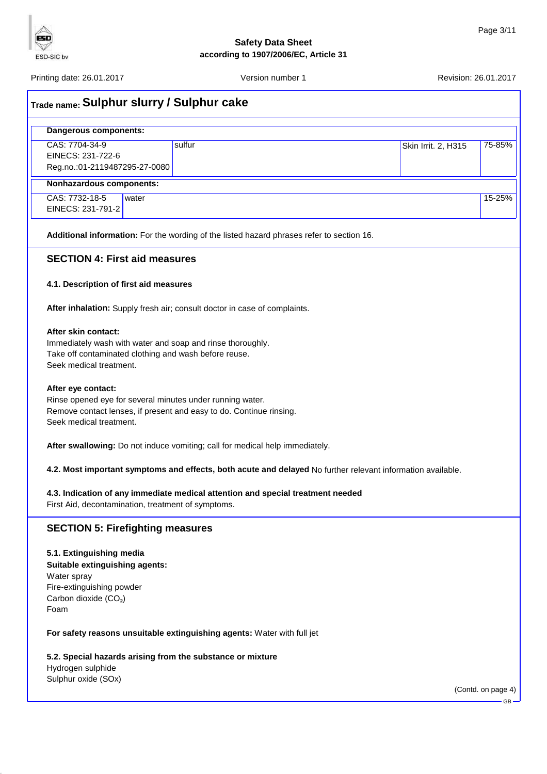

Printing date: 26.01.2017 Version number 1 Revision: 26.01.2017

**ESD**  $\triangledown$ ESD-SIC bv

| <sub>Trade name:</sub> Sulphur slurry / Sulphur cake                                                                                                |       |                                                                                                                                  |                                                                                                             |                     |                    |
|-----------------------------------------------------------------------------------------------------------------------------------------------------|-------|----------------------------------------------------------------------------------------------------------------------------------|-------------------------------------------------------------------------------------------------------------|---------------------|--------------------|
| Dangerous components:                                                                                                                               |       |                                                                                                                                  |                                                                                                             |                     |                    |
| CAS: 7704-34-9<br>EINECS: 231-722-6<br>Reg.no.:01-2119487295-27-0080                                                                                |       | sulfur                                                                                                                           |                                                                                                             | Skin Irrit. 2, H315 | 75-85%             |
| Nonhazardous components:                                                                                                                            |       |                                                                                                                                  |                                                                                                             |                     |                    |
| CAS: 7732-18-5<br>EINECS: 231-791-2                                                                                                                 | water |                                                                                                                                  |                                                                                                             |                     | 15-25%             |
|                                                                                                                                                     |       |                                                                                                                                  | Additional information: For the wording of the listed hazard phrases refer to section 16.                   |                     |                    |
| <b>SECTION 4: First aid measures</b>                                                                                                                |       |                                                                                                                                  |                                                                                                             |                     |                    |
| 4.1. Description of first aid measures                                                                                                              |       |                                                                                                                                  |                                                                                                             |                     |                    |
|                                                                                                                                                     |       | After inhalation: Supply fresh air; consult doctor in case of complaints.                                                        |                                                                                                             |                     |                    |
| After skin contact:<br>Take off contaminated clothing and wash before reuse.<br>Seek medical treatment.                                             |       | Immediately wash with water and soap and rinse thoroughly.                                                                       |                                                                                                             |                     |                    |
| After eye contact:<br>Seek medical treatment.                                                                                                       |       | Rinse opened eye for several minutes under running water.<br>Remove contact lenses, if present and easy to do. Continue rinsing. |                                                                                                             |                     |                    |
|                                                                                                                                                     |       | After swallowing: Do not induce vomiting; call for medical help immediately.                                                     |                                                                                                             |                     |                    |
|                                                                                                                                                     |       |                                                                                                                                  | 4.2. Most important symptoms and effects, both acute and delayed No further relevant information available. |                     |                    |
| First Aid, decontamination, treatment of symptoms.                                                                                                  |       |                                                                                                                                  | 4.3. Indication of any immediate medical attention and special treatment needed                             |                     |                    |
| <b>SECTION 5: Firefighting measures</b>                                                                                                             |       |                                                                                                                                  |                                                                                                             |                     |                    |
| 5.1. Extinguishing media<br>Suitable extinguishing agents:<br>Water spray<br>Fire-extinguishing powder<br>Carbon dioxide (CO <sub>2</sub> )<br>Foam |       |                                                                                                                                  |                                                                                                             |                     |                    |
|                                                                                                                                                     |       | For safety reasons unsuitable extinguishing agents: Water with full jet                                                          |                                                                                                             |                     |                    |
|                                                                                                                                                     |       | 5.2. Special hazards arising from the substance or mixture                                                                       |                                                                                                             |                     |                    |
| Hydrogen sulphide<br>Sulphur oxide (SOx)                                                                                                            |       |                                                                                                                                  |                                                                                                             |                     |                    |
|                                                                                                                                                     |       |                                                                                                                                  |                                                                                                             |                     | (Contd. on page 4) |
|                                                                                                                                                     |       |                                                                                                                                  |                                                                                                             |                     | $GB -$             |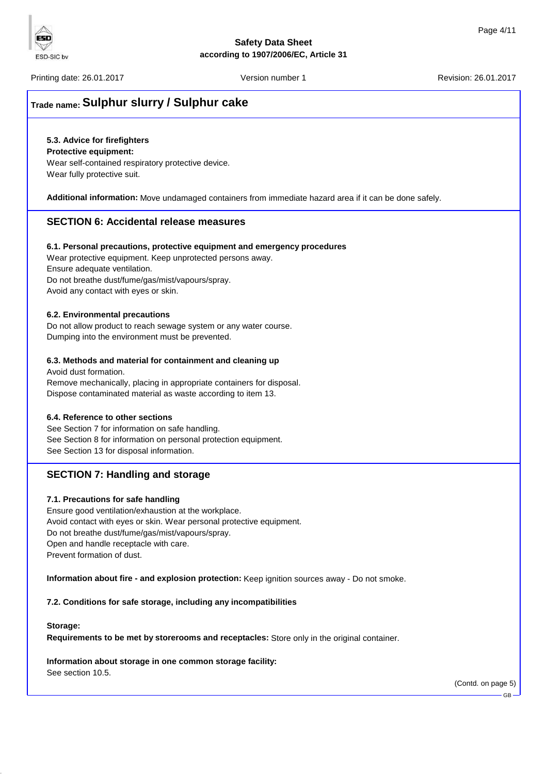Printing date: 26.01.2017 **Printing date: 26.01.2017** Version number 1 Revision: 26.01.2017

# **Trade name: Sulphur slurry / Sulphur cake**

# **5.3. Advice for firefighters**

### **Protective equipment:**

Wear self-contained respiratory protective device. Wear fully protective suit.

**Additional information:** Move undamaged containers from immediate hazard area if it can be done safely.

# **SECTION 6: Accidental release measures**

### **6.1. Personal precautions, protective equipment and emergency procedures**

Wear protective equipment. Keep unprotected persons away. Ensure adequate ventilation. Do not breathe dust/fume/gas/mist/vapours/spray.

Avoid any contact with eyes or skin.

### **6.2. Environmental precautions**

Do not allow product to reach sewage system or any water course. Dumping into the environment must be prevented.

# **6.3. Methods and material for containment and cleaning up**

Avoid dust formation. Remove mechanically, placing in appropriate containers for disposal. Dispose contaminated material as waste according to item 13.

# **6.4. Reference to other sections**

See Section 7 for information on safe handling. See Section 8 for information on personal protection equipment. See Section 13 for disposal information.

# **SECTION 7: Handling and storage**

# **7.1. Precautions for safe handling**

Ensure good ventilation/exhaustion at the workplace. Avoid contact with eyes or skin. Wear personal protective equipment. Do not breathe dust/fume/gas/mist/vapours/spray. Open and handle receptacle with care. Prevent formation of dust.

**Information about fire - and explosion protection:** Keep ignition sources away - Do not smoke.

**7.2. Conditions for safe storage, including any incompatibilities**

#### **Storage:**

**Requirements to be met by storerooms and receptacles:** Store only in the original container.

**Information about storage in one common storage facility:**

See section 10.5.

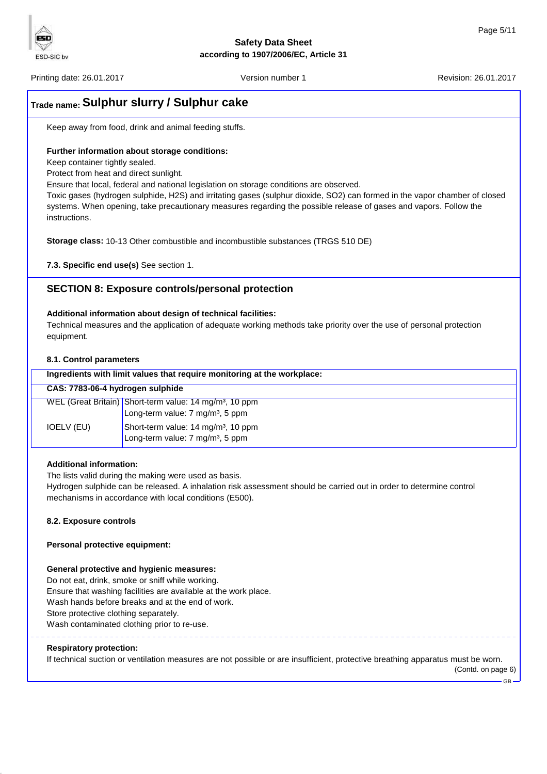Printing date: 26.01.2017 **Printing date: 26.01.2017** Version number 1 Revision: 26.01.2017

FSD

ESD-SIC bv

# **Trade name: Sulphur slurry / Sulphur cake**

Keep away from food, drink and animal feeding stuffs.

## **Further information about storage conditions:**

Keep container tightly sealed.

Protect from heat and direct sunlight.

Ensure that local, federal and national legislation on storage conditions are observed.

Toxic gases (hydrogen sulphide, H2S) and irritating gases (sulphur dioxide, SO2) can formed in the vapor chamber of closed systems. When opening, take precautionary measures regarding the possible release of gases and vapors. Follow the instructions.

**Storage class:** 10-13 Other combustible and incombustible substances (TRGS 510 DE)

**7.3. Specific end use(s)** See section 1.

# **SECTION 8: Exposure controls/personal protection**

### **Additional information about design of technical facilities:**

Technical measures and the application of adequate working methods take priority over the use of personal protection equipment.

### **8.1. Control parameters**

| Ingredients with limit values that require monitoring at the workplace: |                                                                                                                     |  |  |  |
|-------------------------------------------------------------------------|---------------------------------------------------------------------------------------------------------------------|--|--|--|
| CAS: 7783-06-4 hydrogen sulphide                                        |                                                                                                                     |  |  |  |
|                                                                         | WEL (Great Britain) Short-term value: 14 mg/m <sup>3</sup> , 10 ppm<br>Long-term value: 7 mg/m <sup>3</sup> , 5 ppm |  |  |  |
| IOELV (EU)                                                              | Short-term value: 14 mg/m <sup>3</sup> , 10 ppm<br>Long-term value: 7 mg/m <sup>3</sup> , 5 ppm                     |  |  |  |
|                                                                         |                                                                                                                     |  |  |  |

# **Additional information:**

The lists valid during the making were used as basis.

Hydrogen sulphide can be released. A inhalation risk assessment should be carried out in order to determine control mechanisms in accordance with local conditions (E500).

# **8.2. Exposure controls**

# **Personal protective equipment:**

#### **General protective and hygienic measures:**

Do not eat, drink, smoke or sniff while working. Ensure that washing facilities are available at the work place. Wash hands before breaks and at the end of work. Store protective clothing separately. Wash contaminated clothing prior to re-use.

# <u>. . . . . . . . . .</u> **Respiratory protection:**

If technical suction or ventilation measures are not possible or are insufficient, protective breathing apparatus must be worn. (Contd. on page 6)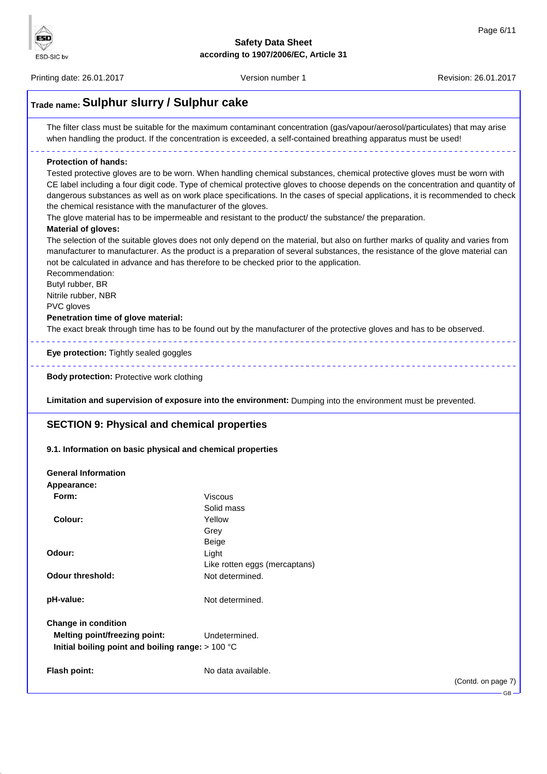Printing date: 26.01.2017 **Version number 1** Version number 1 Revision: 26.01.2017

ESD  $\triangledown$ ESD-SIC bv

| <b>Protection of hands:</b><br>Tested protective gloves are to be worn. When handling chemical substances, chemical protective gloves must be worn with<br>CE label including a four digit code. Type of chemical protective gloves to choose depends on the concentration and quantity of<br>dangerous substances as well as on work place specifications. In the cases of special applications, it is recommended to check<br>the chemical resistance with the manufacturer of the gloves.<br>The glove material has to be impermeable and resistant to the product/ the substance/ the preparation.<br><b>Material of gloves:</b><br>The selection of the suitable gloves does not only depend on the material, but also on further marks of quality and varies from<br>manufacturer to manufacturer. As the product is a preparation of several substances, the resistance of the glove material can<br>not be calculated in advance and has therefore to be checked prior to the application.<br>Recommendation:<br>Butyl rubber, BR<br>Nitrile rubber, NBR<br>PVC gloves<br>Penetration time of glove material:<br>The exact break through time has to be found out by the manufacturer of the protective gloves and has to be observed.<br>Eye protection: Tightly sealed goggles<br><b>Body protection: Protective work clothing</b><br>Limitation and supervision of exposure into the environment: Dumping into the environment must be prevented.<br><b>SECTION 9: Physical and chemical properties</b><br>9.1. Information on basic physical and chemical properties<br><b>General Information</b><br>Appearance:<br>Form:<br>Viscous<br>Solid mass<br><b>Colour:</b><br>Yellow<br>Grey<br>Beige<br>Odour:<br>Light<br>Like rotten eggs (mercaptans)<br><b>Odour threshold:</b><br>Not determined.<br>pH-value:<br>Not determined.<br><b>Change in condition</b><br><b>Melting point/freezing point:</b><br>Undetermined.<br>Initial boiling point and boiling range: > 100 °C | The filter class must be suitable for the maximum contaminant concentration (gas/vapour/aerosol/particulates) that may arise<br>when handling the product. If the concentration is exceeded, a self-contained breathing apparatus must be used! |                    |  |  |
|--------------------------------------------------------------------------------------------------------------------------------------------------------------------------------------------------------------------------------------------------------------------------------------------------------------------------------------------------------------------------------------------------------------------------------------------------------------------------------------------------------------------------------------------------------------------------------------------------------------------------------------------------------------------------------------------------------------------------------------------------------------------------------------------------------------------------------------------------------------------------------------------------------------------------------------------------------------------------------------------------------------------------------------------------------------------------------------------------------------------------------------------------------------------------------------------------------------------------------------------------------------------------------------------------------------------------------------------------------------------------------------------------------------------------------------------------------------------------------------------------------------------------------------------------------------------------------------------------------------------------------------------------------------------------------------------------------------------------------------------------------------------------------------------------------------------------------------------------------------------------------------------------------------------------------------------------------------------------------------------|-------------------------------------------------------------------------------------------------------------------------------------------------------------------------------------------------------------------------------------------------|--------------------|--|--|
|                                                                                                                                                                                                                                                                                                                                                                                                                                                                                                                                                                                                                                                                                                                                                                                                                                                                                                                                                                                                                                                                                                                                                                                                                                                                                                                                                                                                                                                                                                                                                                                                                                                                                                                                                                                                                                                                                                                                                                                            |                                                                                                                                                                                                                                                 |                    |  |  |
|                                                                                                                                                                                                                                                                                                                                                                                                                                                                                                                                                                                                                                                                                                                                                                                                                                                                                                                                                                                                                                                                                                                                                                                                                                                                                                                                                                                                                                                                                                                                                                                                                                                                                                                                                                                                                                                                                                                                                                                            |                                                                                                                                                                                                                                                 |                    |  |  |
|                                                                                                                                                                                                                                                                                                                                                                                                                                                                                                                                                                                                                                                                                                                                                                                                                                                                                                                                                                                                                                                                                                                                                                                                                                                                                                                                                                                                                                                                                                                                                                                                                                                                                                                                                                                                                                                                                                                                                                                            |                                                                                                                                                                                                                                                 |                    |  |  |
|                                                                                                                                                                                                                                                                                                                                                                                                                                                                                                                                                                                                                                                                                                                                                                                                                                                                                                                                                                                                                                                                                                                                                                                                                                                                                                                                                                                                                                                                                                                                                                                                                                                                                                                                                                                                                                                                                                                                                                                            |                                                                                                                                                                                                                                                 |                    |  |  |
|                                                                                                                                                                                                                                                                                                                                                                                                                                                                                                                                                                                                                                                                                                                                                                                                                                                                                                                                                                                                                                                                                                                                                                                                                                                                                                                                                                                                                                                                                                                                                                                                                                                                                                                                                                                                                                                                                                                                                                                            |                                                                                                                                                                                                                                                 |                    |  |  |
|                                                                                                                                                                                                                                                                                                                                                                                                                                                                                                                                                                                                                                                                                                                                                                                                                                                                                                                                                                                                                                                                                                                                                                                                                                                                                                                                                                                                                                                                                                                                                                                                                                                                                                                                                                                                                                                                                                                                                                                            |                                                                                                                                                                                                                                                 |                    |  |  |
|                                                                                                                                                                                                                                                                                                                                                                                                                                                                                                                                                                                                                                                                                                                                                                                                                                                                                                                                                                                                                                                                                                                                                                                                                                                                                                                                                                                                                                                                                                                                                                                                                                                                                                                                                                                                                                                                                                                                                                                            |                                                                                                                                                                                                                                                 |                    |  |  |
|                                                                                                                                                                                                                                                                                                                                                                                                                                                                                                                                                                                                                                                                                                                                                                                                                                                                                                                                                                                                                                                                                                                                                                                                                                                                                                                                                                                                                                                                                                                                                                                                                                                                                                                                                                                                                                                                                                                                                                                            |                                                                                                                                                                                                                                                 |                    |  |  |
|                                                                                                                                                                                                                                                                                                                                                                                                                                                                                                                                                                                                                                                                                                                                                                                                                                                                                                                                                                                                                                                                                                                                                                                                                                                                                                                                                                                                                                                                                                                                                                                                                                                                                                                                                                                                                                                                                                                                                                                            |                                                                                                                                                                                                                                                 |                    |  |  |
|                                                                                                                                                                                                                                                                                                                                                                                                                                                                                                                                                                                                                                                                                                                                                                                                                                                                                                                                                                                                                                                                                                                                                                                                                                                                                                                                                                                                                                                                                                                                                                                                                                                                                                                                                                                                                                                                                                                                                                                            |                                                                                                                                                                                                                                                 |                    |  |  |
|                                                                                                                                                                                                                                                                                                                                                                                                                                                                                                                                                                                                                                                                                                                                                                                                                                                                                                                                                                                                                                                                                                                                                                                                                                                                                                                                                                                                                                                                                                                                                                                                                                                                                                                                                                                                                                                                                                                                                                                            |                                                                                                                                                                                                                                                 |                    |  |  |
|                                                                                                                                                                                                                                                                                                                                                                                                                                                                                                                                                                                                                                                                                                                                                                                                                                                                                                                                                                                                                                                                                                                                                                                                                                                                                                                                                                                                                                                                                                                                                                                                                                                                                                                                                                                                                                                                                                                                                                                            |                                                                                                                                                                                                                                                 |                    |  |  |
|                                                                                                                                                                                                                                                                                                                                                                                                                                                                                                                                                                                                                                                                                                                                                                                                                                                                                                                                                                                                                                                                                                                                                                                                                                                                                                                                                                                                                                                                                                                                                                                                                                                                                                                                                                                                                                                                                                                                                                                            |                                                                                                                                                                                                                                                 |                    |  |  |
|                                                                                                                                                                                                                                                                                                                                                                                                                                                                                                                                                                                                                                                                                                                                                                                                                                                                                                                                                                                                                                                                                                                                                                                                                                                                                                                                                                                                                                                                                                                                                                                                                                                                                                                                                                                                                                                                                                                                                                                            |                                                                                                                                                                                                                                                 |                    |  |  |
|                                                                                                                                                                                                                                                                                                                                                                                                                                                                                                                                                                                                                                                                                                                                                                                                                                                                                                                                                                                                                                                                                                                                                                                                                                                                                                                                                                                                                                                                                                                                                                                                                                                                                                                                                                                                                                                                                                                                                                                            |                                                                                                                                                                                                                                                 |                    |  |  |
|                                                                                                                                                                                                                                                                                                                                                                                                                                                                                                                                                                                                                                                                                                                                                                                                                                                                                                                                                                                                                                                                                                                                                                                                                                                                                                                                                                                                                                                                                                                                                                                                                                                                                                                                                                                                                                                                                                                                                                                            |                                                                                                                                                                                                                                                 |                    |  |  |
|                                                                                                                                                                                                                                                                                                                                                                                                                                                                                                                                                                                                                                                                                                                                                                                                                                                                                                                                                                                                                                                                                                                                                                                                                                                                                                                                                                                                                                                                                                                                                                                                                                                                                                                                                                                                                                                                                                                                                                                            |                                                                                                                                                                                                                                                 |                    |  |  |
|                                                                                                                                                                                                                                                                                                                                                                                                                                                                                                                                                                                                                                                                                                                                                                                                                                                                                                                                                                                                                                                                                                                                                                                                                                                                                                                                                                                                                                                                                                                                                                                                                                                                                                                                                                                                                                                                                                                                                                                            |                                                                                                                                                                                                                                                 |                    |  |  |
|                                                                                                                                                                                                                                                                                                                                                                                                                                                                                                                                                                                                                                                                                                                                                                                                                                                                                                                                                                                                                                                                                                                                                                                                                                                                                                                                                                                                                                                                                                                                                                                                                                                                                                                                                                                                                                                                                                                                                                                            |                                                                                                                                                                                                                                                 |                    |  |  |
|                                                                                                                                                                                                                                                                                                                                                                                                                                                                                                                                                                                                                                                                                                                                                                                                                                                                                                                                                                                                                                                                                                                                                                                                                                                                                                                                                                                                                                                                                                                                                                                                                                                                                                                                                                                                                                                                                                                                                                                            |                                                                                                                                                                                                                                                 |                    |  |  |
|                                                                                                                                                                                                                                                                                                                                                                                                                                                                                                                                                                                                                                                                                                                                                                                                                                                                                                                                                                                                                                                                                                                                                                                                                                                                                                                                                                                                                                                                                                                                                                                                                                                                                                                                                                                                                                                                                                                                                                                            |                                                                                                                                                                                                                                                 |                    |  |  |
|                                                                                                                                                                                                                                                                                                                                                                                                                                                                                                                                                                                                                                                                                                                                                                                                                                                                                                                                                                                                                                                                                                                                                                                                                                                                                                                                                                                                                                                                                                                                                                                                                                                                                                                                                                                                                                                                                                                                                                                            |                                                                                                                                                                                                                                                 |                    |  |  |
|                                                                                                                                                                                                                                                                                                                                                                                                                                                                                                                                                                                                                                                                                                                                                                                                                                                                                                                                                                                                                                                                                                                                                                                                                                                                                                                                                                                                                                                                                                                                                                                                                                                                                                                                                                                                                                                                                                                                                                                            |                                                                                                                                                                                                                                                 |                    |  |  |
|                                                                                                                                                                                                                                                                                                                                                                                                                                                                                                                                                                                                                                                                                                                                                                                                                                                                                                                                                                                                                                                                                                                                                                                                                                                                                                                                                                                                                                                                                                                                                                                                                                                                                                                                                                                                                                                                                                                                                                                            |                                                                                                                                                                                                                                                 |                    |  |  |
|                                                                                                                                                                                                                                                                                                                                                                                                                                                                                                                                                                                                                                                                                                                                                                                                                                                                                                                                                                                                                                                                                                                                                                                                                                                                                                                                                                                                                                                                                                                                                                                                                                                                                                                                                                                                                                                                                                                                                                                            |                                                                                                                                                                                                                                                 |                    |  |  |
|                                                                                                                                                                                                                                                                                                                                                                                                                                                                                                                                                                                                                                                                                                                                                                                                                                                                                                                                                                                                                                                                                                                                                                                                                                                                                                                                                                                                                                                                                                                                                                                                                                                                                                                                                                                                                                                                                                                                                                                            | Flash point:                                                                                                                                                                                                                                    | No data available. |  |  |

GB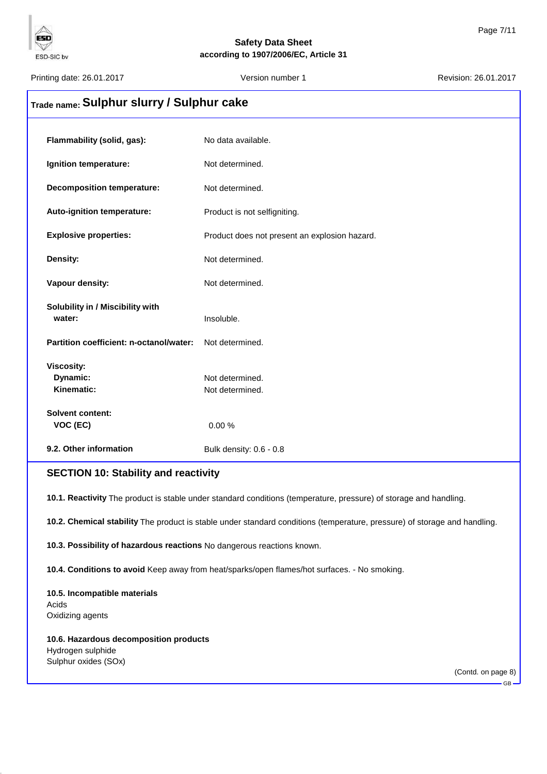Printing date: 26.01.2017 **Version number 1** According date: 26.01.2017 **Revision: 26.01.2017** 

ESD

ESD-SIC bv

# **Trade name: Sulphur slurry / Sulphur cake**

| Flammability (solid, gas):              | No data available.                            |
|-----------------------------------------|-----------------------------------------------|
| Ignition temperature:                   | Not determined.                               |
| <b>Decomposition temperature:</b>       | Not determined.                               |
| Auto-ignition temperature:              | Product is not selfigniting.                  |
| <b>Explosive properties:</b>            | Product does not present an explosion hazard. |
| Density:                                | Not determined.                               |
| Vapour density:                         | Not determined.                               |
| Solubility in / Miscibility with        |                                               |
| water:                                  | Insoluble.                                    |
| Partition coefficient: n-octanol/water: | Not determined.                               |
| <b>Viscosity:</b>                       |                                               |
| Dynamic:                                | Not determined.                               |
| Kinematic:                              | Not determined.                               |
| <b>Solvent content:</b>                 |                                               |
| VOC (EC)                                | 0.00%                                         |
| 9.2. Other information                  | Bulk density: 0.6 - 0.8                       |

# **SECTION 10: Stability and reactivity**

**10.1. Reactivity** The product is stable under standard conditions (temperature, pressure) of storage and handling.

**10.2. Chemical stability** The product is stable under standard conditions (temperature, pressure) of storage and handling.

**10.3. Possibility of hazardous reactions** No dangerous reactions known.

**10.4. Conditions to avoid** Keep away from heat/sparks/open flames/hot surfaces. - No smoking.

# **10.5. Incompatible materials** Acids Oxidizing agents

**10.6. Hazardous decomposition products** Hydrogen sulphide Sulphur oxides (SOx)

(Contd. on page 8)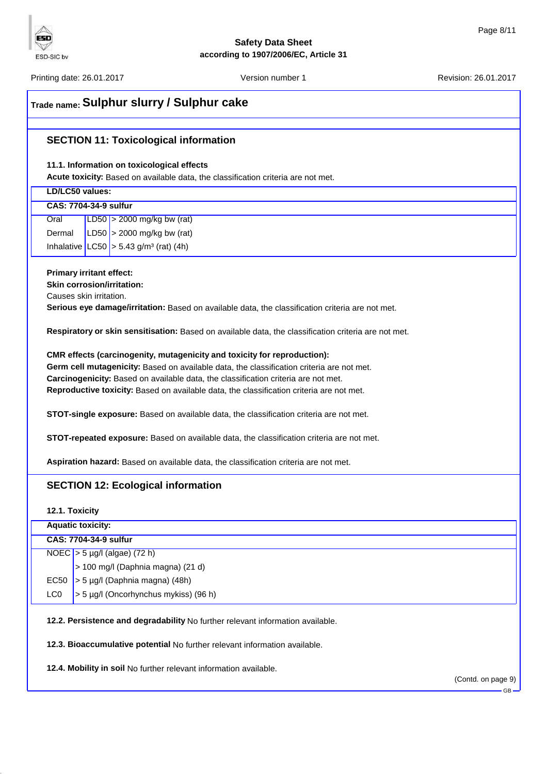

Printing date: 26.01.2017 **Version number 1** According date: 26.01.2017 **Revision: 26.01.2017** 

ESD

ESD-SIC bv

# **Trade name: Sulphur slurry / Sulphur cake**

# **SECTION 11: Toxicological information**

## **11.1. Information on toxicological effects**

**Acute toxicity:** Based on available data, the classification criteria are not met.

| LD/LC50 values:                                                                                      |  |  |  |
|------------------------------------------------------------------------------------------------------|--|--|--|
| <b>CAS: 7704-34-9 sulfur</b>                                                                         |  |  |  |
| LD50 $>$ 2000 mg/kg bw (rat)<br>Oral                                                                 |  |  |  |
| LD50 $>$ 2000 mg/kg bw (rat)<br>Dermal                                                               |  |  |  |
| Inhalative $ L C50  > 5.43$ g/m <sup>3</sup> (rat) (4h)                                              |  |  |  |
|                                                                                                      |  |  |  |
| <b>Primary irritant effect:</b><br><b>Skin corrosion/irritation:</b>                                 |  |  |  |
| Causes skin irritation.                                                                              |  |  |  |
| Serious eye damage/irritation: Based on available data, the classification criteria are not met.     |  |  |  |
|                                                                                                      |  |  |  |
| Respiratory or skin sensitisation: Based on available data, the classification criteria are not met. |  |  |  |
| CMR effects (carcinogenity, mutagenicity and toxicity for reproduction):                             |  |  |  |
| Germ cell mutagenicity: Based on available data, the classification criteria are not met.            |  |  |  |
| Carcinogenicity: Based on available data, the classification criteria are not met.                   |  |  |  |
| Reproductive toxicity: Based on available data, the classification criteria are not met.             |  |  |  |
|                                                                                                      |  |  |  |
| <b>STOT-single exposure:</b> Based on available data, the classification criteria are not met.       |  |  |  |
| STOT-repeated exposure: Based on available data, the classification criteria are not met.            |  |  |  |
|                                                                                                      |  |  |  |
| Aspiration hazard: Based on available data, the classification criteria are not met.                 |  |  |  |
|                                                                                                      |  |  |  |
| <b>SECTION 12: Ecological information</b>                                                            |  |  |  |
|                                                                                                      |  |  |  |
| 12.1. Toxicity                                                                                       |  |  |  |

# **Aquatic toxicity: CAS: 7704-34-9 sulfur** NOEC > 5 µg/l (algae) (72 h) > 100 mg/l (Daphnia magna) (21 d) EC50  $>$  5 µg/l (Daphnia magna) (48h) LC0  $\vert$  > 5 µg/l (Oncorhynchus mykiss) (96 h)

**12.2. Persistence and degradability** No further relevant information available.

**12.3. Bioaccumulative potential** No further relevant information available.

**12.4. Mobility in soil** No further relevant information available.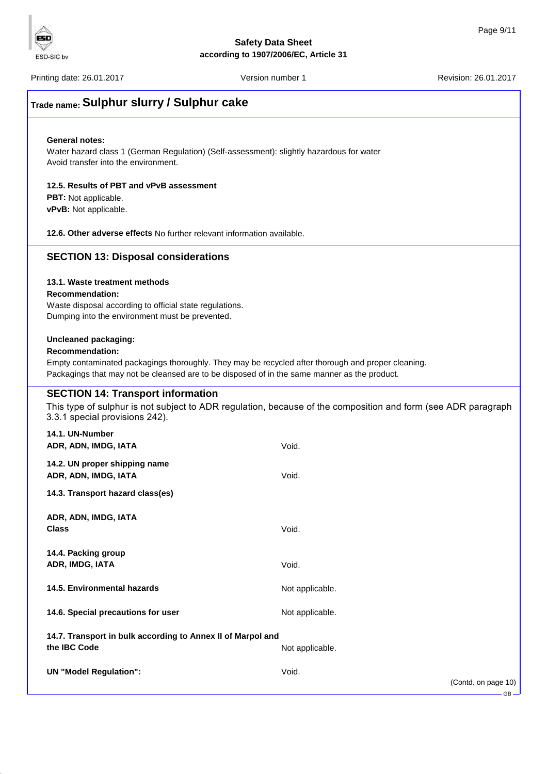

GB

# **Safety Data Sheet according to 1907/2006/EC, Article 31**

Printing date: 26.01.2017 **Version number 1** Account 26.01.2017 **Revision: 26.01.2017** 

# **Trade name: Sulphur slurry / Sulphur cake**

#### **General notes:**

Water hazard class 1 (German Regulation) (Self-assessment): slightly hazardous for water Avoid transfer into the environment.

#### **12.5. Results of PBT and vPvB assessment**

**PBT:** Not applicable. **vPvB:** Not applicable.

**12.6. Other adverse effects** No further relevant information available.

# **SECTION 13: Disposal considerations**

## **13.1. Waste treatment methods**

#### **Recommendation:**

Waste disposal according to official state regulations. Dumping into the environment must be prevented.

# **Uncleaned packaging:**

### **Recommendation:**

Empty contaminated packagings thoroughly. They may be recycled after thorough and proper cleaning. Packagings that may not be cleansed are to be disposed of in the same manner as the product.

# **SECTION 14: Transport information**

This type of sulphur is not subject to ADR regulation, because of the composition and form (see ADR paragraph3.3.1 special provisions 242).

| 14.1. UN-Number<br>ADR, ADN, IMDG, IATA                                     | Void.                        |
|-----------------------------------------------------------------------------|------------------------------|
| 14.2. UN proper shipping name<br>ADR, ADN, IMDG, IATA                       | Void.                        |
| 14.3. Transport hazard class(es)                                            |                              |
| ADR, ADN, IMDG, IATA<br><b>Class</b>                                        | Void.                        |
| 14.4. Packing group<br>ADR, IMDG, IATA                                      | Void.                        |
| 14.5. Environmental hazards                                                 | Not applicable.              |
| 14.6. Special precautions for user                                          | Not applicable.              |
| 14.7. Transport in bulk according to Annex II of Marpol and<br>the IBC Code | Not applicable.              |
| <b>UN "Model Regulation":</b>                                               | Void.<br>(Contd. on page 10) |

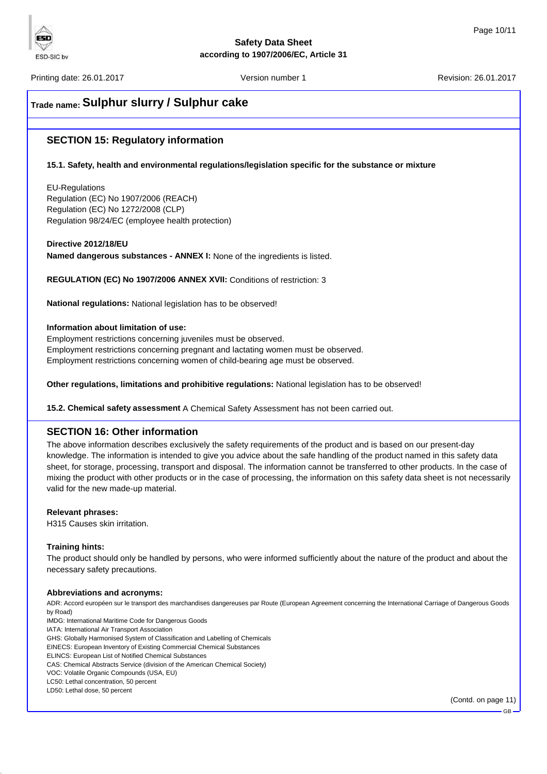Printing date: 26.01.2017 **Printing date: 26.01.2017** Version number 1 Revision: 26.01.2017

ESD

**ESD-SIC by** 

# **Trade name: Sulphur slurry / Sulphur cake**

# **SECTION 15: Regulatory information**

# **15.1. Safety, health and environmental regulations/legislation specific for the substance or mixture**

EU-Regulations Regulation (EC) No 1907/2006 (REACH) Regulation (EC) No 1272/2008 (CLP) Regulation 98/24/EC (employee health protection)

**Directive 2012/18/EU**

**Named dangerous substances - ANNEX I:** None of the ingredients is listed.

**REGULATION (EC) No 1907/2006 ANNEX XVII:** Conditions of restriction: 3

**National regulations:** National legislation has to be observed!

### **Information about limitation of use:**

Employment restrictions concerning juveniles must be observed. Employment restrictions concerning pregnant and lactating women must be observed. Employment restrictions concerning women of child-bearing age must be observed.

**Other regulations, limitations and prohibitive regulations:** National legislation has to be observed!

**15.2. Chemical safety assessment** A Chemical Safety Assessment has not been carried out.

# **SECTION 16: Other information**

The above information describes exclusively the safety requirements of the product and is based on our present-day knowledge. The information is intended to give you advice about the safe handling of the product named in this safety data sheet, for storage, processing, transport and disposal. The information cannot be transferred to other products. In the case of mixing the product with other products or in the case of processing, the information on this safety data sheet is not necessarily valid for the new made-up material.

#### **Relevant phrases:**

H315 Causes skin irritation.

# **Training hints:**

The product should only be handled by persons, who were informed sufficiently about the nature of the product and about the necessary safety precautions.

#### **Abbreviations and acronyms:**

ADR: Accord européen sur le transport des marchandises dangereuses par Route (European Agreement concerning the International Carriage of Dangerous Goods by Road)

IMDG: International Maritime Code for Dangerous Goods

IATA: International Air Transport Association GHS: Globally Harmonised System of Classification and Labelling of Chemicals

EINECS: European Inventory of Existing Commercial Chemical Substances

ELINCS: European List of Notified Chemical Substances

CAS: Chemical Abstracts Service (division of the American Chemical Society)

VOC: Volatile Organic Compounds (USA, EU)

LC50: Lethal concentration, 50 percent LD50: Lethal dose, 50 percent